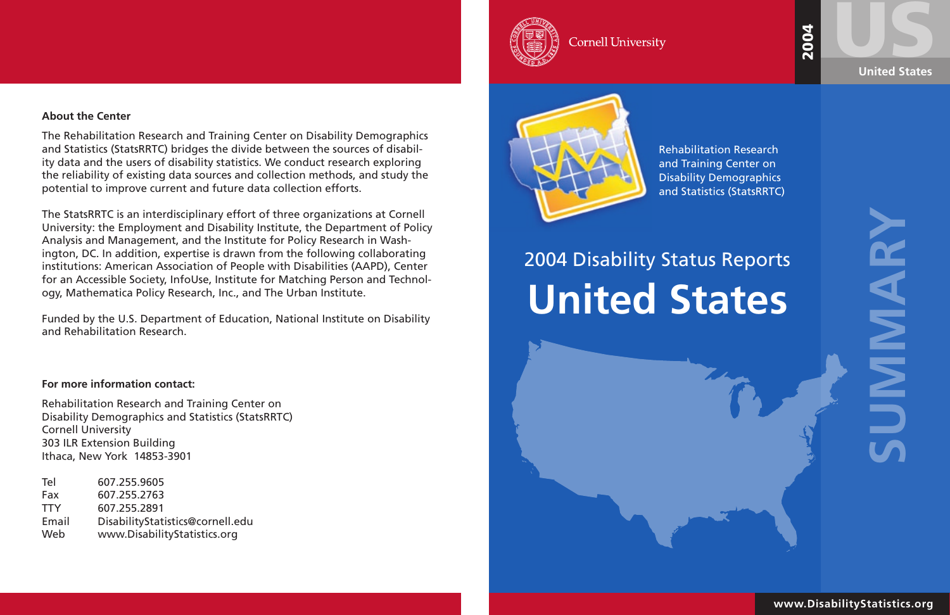USSED STATES **United States**

> **SUMMARY** NANE

# 2004

# **United States** 2004 Disability Status Reports

### **About the Center**

The Rehabilitation Research and Training Center on Disability Demographics and Statistics (StatsRRTC) bridges the divide between the sources of disability data and the users of disability statistics. We conduct research exploring the reliability of existing data sources and collection methods, and study the potential to improve current and future data collection efforts.

The StatsRRTC is an interdisciplinary effort of three organizations at Cornell University: the Employment and Disability Institute, the Department of Policy Analysis and Management, and the Institute for Policy Research in Washington, DC. In addition, expertise is drawn from the following collaborating institutions: American Association of People with Disabilities (AAPD), Center for an Accessible Society, InfoUse, Institute for Matching Person and Technology, Mathematica Policy Research, Inc., and The Urban Institute.

Funded by the U.S. Department of Education, National Institute on Disability and Rehabilitation Research.

### **For more information contact:**

Rehabilitation Research and Training Center on Disability Demographics and Statistics (StatsRRTC) Cornell University 303 ILR Extension Building Ithaca, New York 14853-3901

| Tel        | 607.255.9605                     |
|------------|----------------------------------|
| Fax        | 607.255.2763                     |
| <b>TTY</b> | 607.255.2891                     |
| Email      | DisabilityStatistics@cornell.edu |
| Web        | www.DisabilityStatistics.org     |



**Cornell University** 



**www.DisabilityStatistics.org**

Rehabilitation Research and Training Center on Disability Demographics and Statistics (StatsRRTC)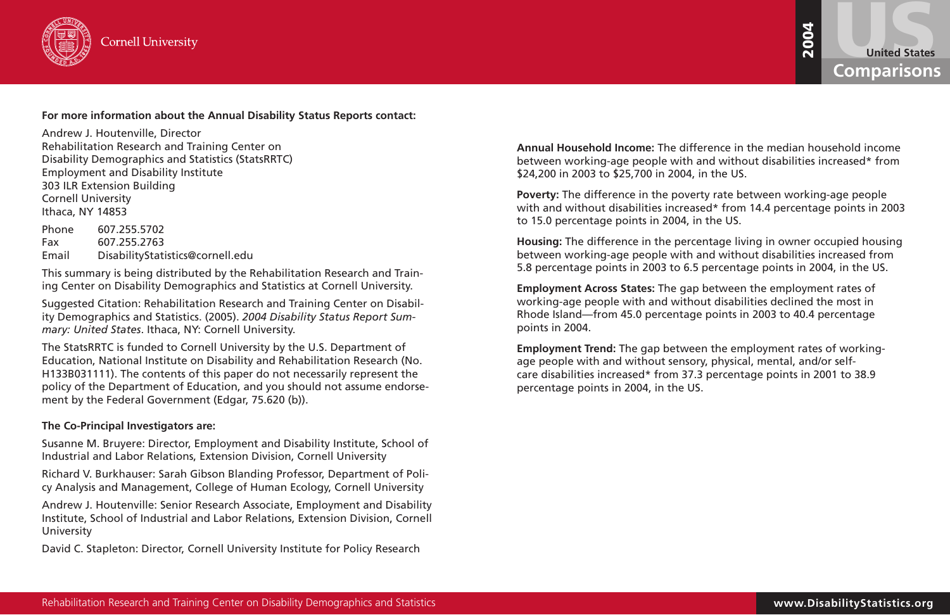

### **For more information about the Annual Disability Status Reports contact:**

Andrew J. Houtenville, Director Rehabilitation Research and Training Center on Disability Demographics and Statistics (StatsRRTC) Employment and Disability Institute 303 ILR Extension Building Cornell University Ithaca, NY 14853

Phone 607.255.5702 Fax 607.255.2763 Email DisabilityStatistics@cornell.edu

This summary is being distributed by the Rehabilitation Research and Training Center on Disability Demographics and Statistics at Cornell University.

Real Conseil is a conseil is a conseil is a compatible of the statistics of the statistics of the statistics of the statistics of the statistics of the statistics of the statistics of the statistics of the statistics of th The StatsRRTC is funded to Cornell University by the U.S. Department of Education, National Institute on Disability and Rehabilitation Research (No. H133B031111). The contents of this paper do not necessarily represent the policy of the Department of Education, and you should not assume endorsement by the Federal Government (Edgar, 75.620 (b)).

Suggested Citation: Rehabilitation Research and Training Center on Disability Demographics and Statistics. (2005). *2004 Disability Status Report Summary: United States*. Ithaca, NY: Cornell University.



### **The Co-Principal Investigators are:**

Susanne M. Bruyere: Director, Employment and Disability Institute, School of Industrial and Labor Relations, Extension Division, Cornell University

Richard V. Burkhauser: Sarah Gibson Blanding Professor, Department of Policy Analysis and Management, College of Human Ecology, Cornell University

Andrew J. Houtenville: Senior Research Associate, Employment and Disability Institute, School of Industrial and Labor Relations, Extension Division, Cornell University

David C. Stapleton: Director, Cornell University Institute for Policy Research

\$24,200 in 2003 to \$25,700 in 2004, in the US.

to 15.0 percentage points in 2004, in the US.

- **Annual Household Income:** The difference in the median household income between working-age people with and without disabilities increased\* from
- **Poverty:** The difference in the poverty rate between working-age people with and without disabilities increased\* from 14.4 percentage points in 2003
- **Housing:** The difference in the percentage living in owner occupied housing between working-age people with and without disabilities increased from 5.8 percentage points in 2003 to 6.5 percentage points in 2004, in the US.
	-
- **Employment Trend:** The gap between the employment rates of working-

**Employment Across States:** The gap between the employment rates of working-age people with and without disabilities declined the most in Rhode Island—from 45.0 percentage points in 2003 to 40.4 percentage points in 2004.

age people with and without sensory, physical, mental, and/or selfcare disabilities increased\* from 37.3 percentage points in 2001 to 38.9 percentage points in 2004, in the US.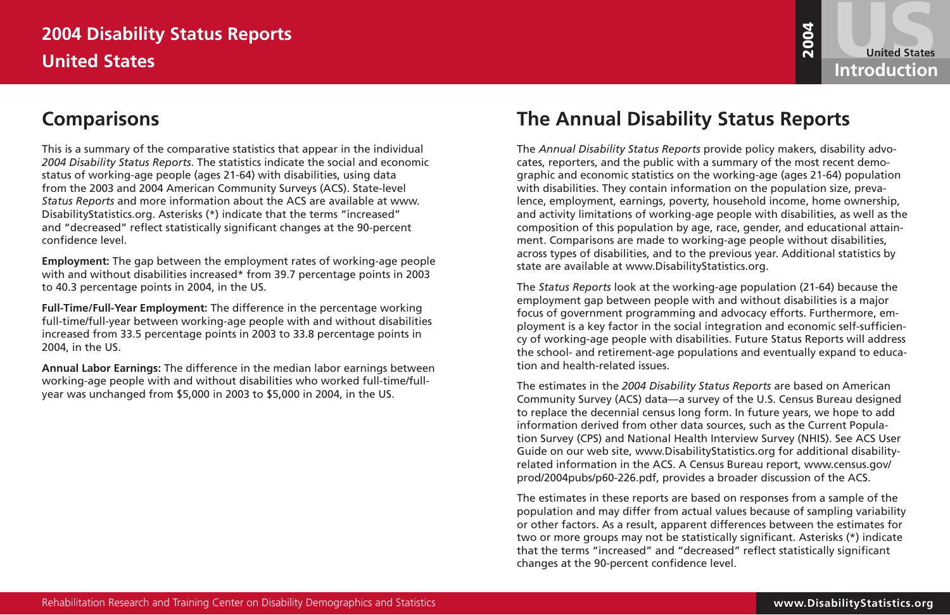## **The Annual Disability Status Reports**

**ODISimality Statistics Reports<br>
The Annual Disability Statistics Reports<br>
The main of the comparison Report of the comparison and the comparison Report of the comparison Report of the comparison and the comparison Report** The *Annual Disability Status Reports* provide policy makers, disability advocates, reporters, and the public with a summary of the most recent demographic and economic statistics on the working-age (ages 21-64) population with disabilities. They contain information on the population size, prevalence, employment, earnings, poverty, household income, home ownership, and activity limitations of working-age people with disabilities, as well as the composition of this population by age, race, gender, and educational attainment. Comparisons are made to working-age people without disabilities, across types of disabilities, and to the previous year. Additional statistics by state are available at www.DisabilityStatistics.org.

The *Status Reports* look at the working-age population (21-64) because the employment gap between people with and without disabilities is a major focus of government programming and advocacy efforts. Furthermore, employment is a key factor in the social integration and economic self-sufficiency of working-age people with disabilities. Future Status Reports will address the school- and retirement-age populations and eventually expand to education and health-related issues.

The estimates in the *2004 Disability Status Reports* are based on American Community Survey (ACS) data—a survey of the U.S. Census Bureau designed to replace the decennial census long form. In future years, we hope to add information derived from other data sources, such as the Current Population Survey (CPS) and National Health Interview Survey (NHIS). See ACS User Guide on our web site, www.DisabilityStatistics.org for additional disabilityrelated information in the ACS. A Census Bureau report, www.census.gov/ prod/2004pubs/p60-226.pdf, provides a broader discussion of the ACS.

## **2004 Disability Status Reports United States Introduction**

The estimates in these reports are based on responses from a sample of the population and may differ from actual values because of sampling variability or other factors. As a result, apparent differences between the estimates for two or more groups may not be statistically significant. Asterisks (\*) indicate that the terms "increased" and "decreased" reflect statistically significant changes at the 90-percent confidence level.

United States<br>Introduction

## **Comparisons**

This is a summary of the comparative statistics that appear in the individual *2004 Disability Status Reports*. The statistics indicate the social and economic status of working-age people (ages 21-64) with disabilities, using data from the 2003 and 2004 American Community Surveys (ACS). State-level *Status Reports* and more information about the ACS are available at www. DisabilityStatistics.org. Asterisks (\*) indicate that the terms "increased" and "decreased" reflect statistically significant changes at the 90-percent confidence level.

**Employment:** The gap between the employment rates of working-age people with and without disabilities increased\* from 39.7 percentage points in 2003 to 40.3 percentage points in 2004, in the US.

**Full-Time/Full-Year Employment:** The difference in the percentage working full-time/full-year between working-age people with and without disabilities increased from 33.5 percentage points in 2003 to 33.8 percentage points in 2004, in the US.

**Annual Labor Earnings:** The difference in the median labor earnings between working-age people with and without disabilities who worked full-time/fullyear was unchanged from \$5,000 in 2003 to \$5,000 in 2004, in the US.